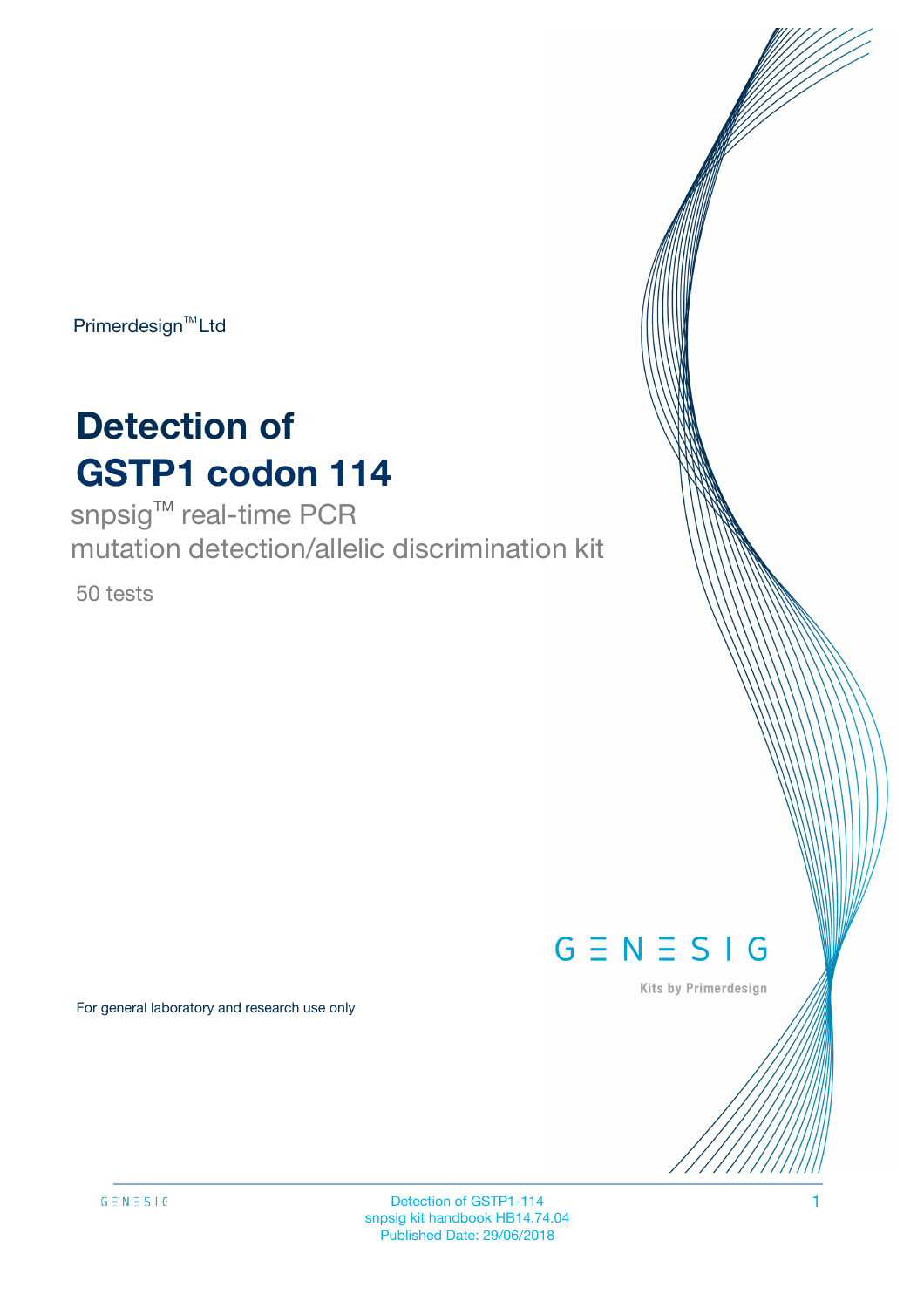$Primerdesign<sup>™</sup>Ltd$ 

# **Detection of GSTP1 codon 114**

snpsig<sup>™</sup> real-time PCR mutation detection/allelic discrimination kit

50 tests

 $G \equiv N \equiv S \mid G$ 

Kits by Primerdesign

For general laboratory and research use only

Detection of GSTP1-114 1 snpsig kit handbook HB14.74.04 Published Date: 29/06/2018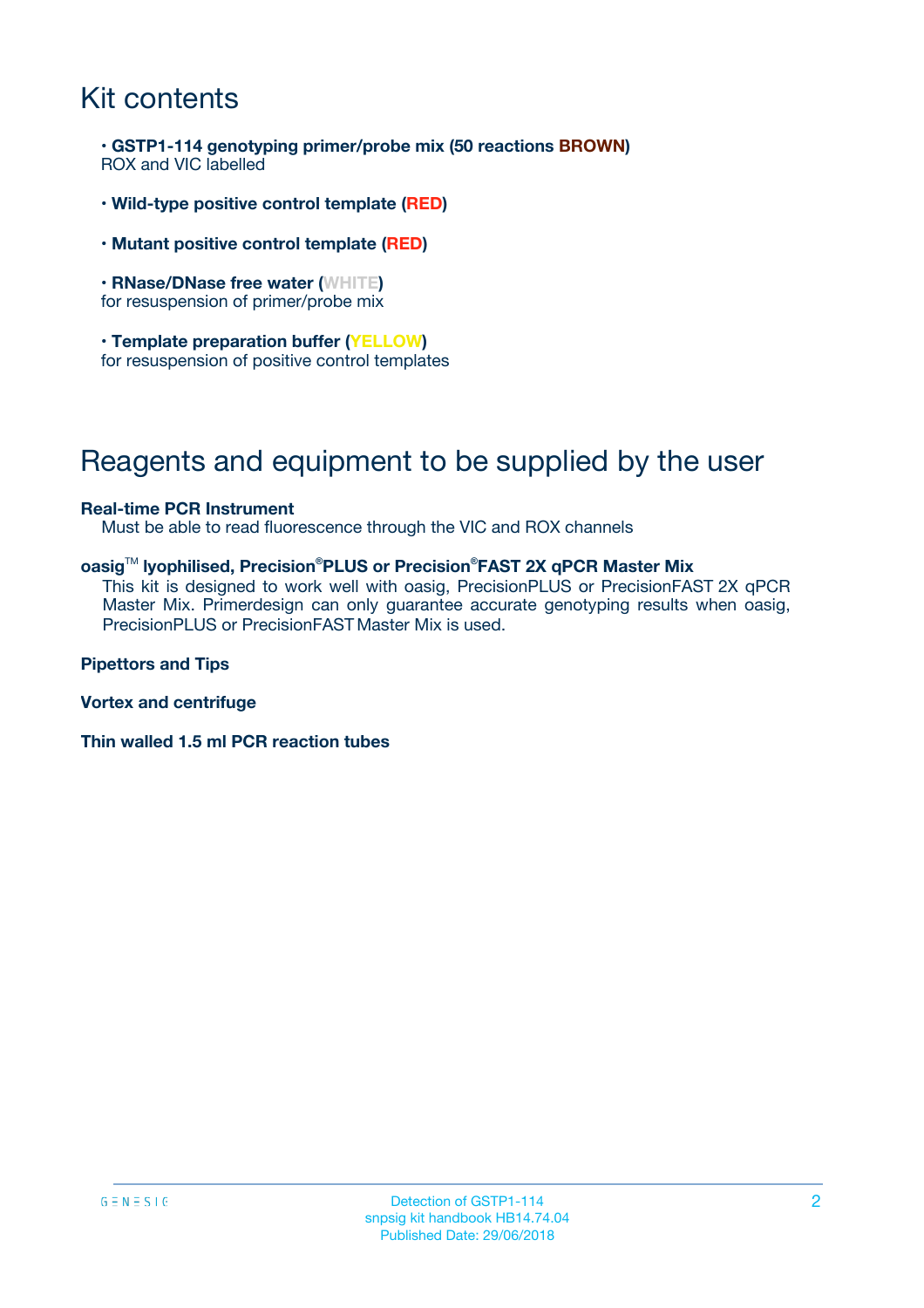### Kit contents

**• GSTP1-114 genotyping primer/probe mix (50 reactions BROWN)** ROX and VIC labelled

- **Wild-type positive control template (RED)**
- **Mutant positive control template (RED)**
- **RNase/DNase free water (WHITE)** for resuspension of primer/probe mix
- **Template preparation buffer (YELLOW)** for resuspension of positive control templates

### Reagents and equipment to be supplied by the user

#### **Real-time PCR Instrument**

Must be able to read fluorescence through the VIC and ROX channels

#### **oasig**TM **lyophilised, Precision®PLUS or Precision® FAST 2X qPCR Master Mix**

This kit is designed to work well with oasig, PrecisionPLUS or PrecisionFAST 2X qPCR Master Mix. Primerdesign can only guarantee accurate genotyping results when oasig, PrecisionPLUS or PrecisionFAST Master Mix is used.

**Pipettors and Tips**

**Vortex and centrifuge**

**Thin walled 1.5 ml PCR reaction tubes**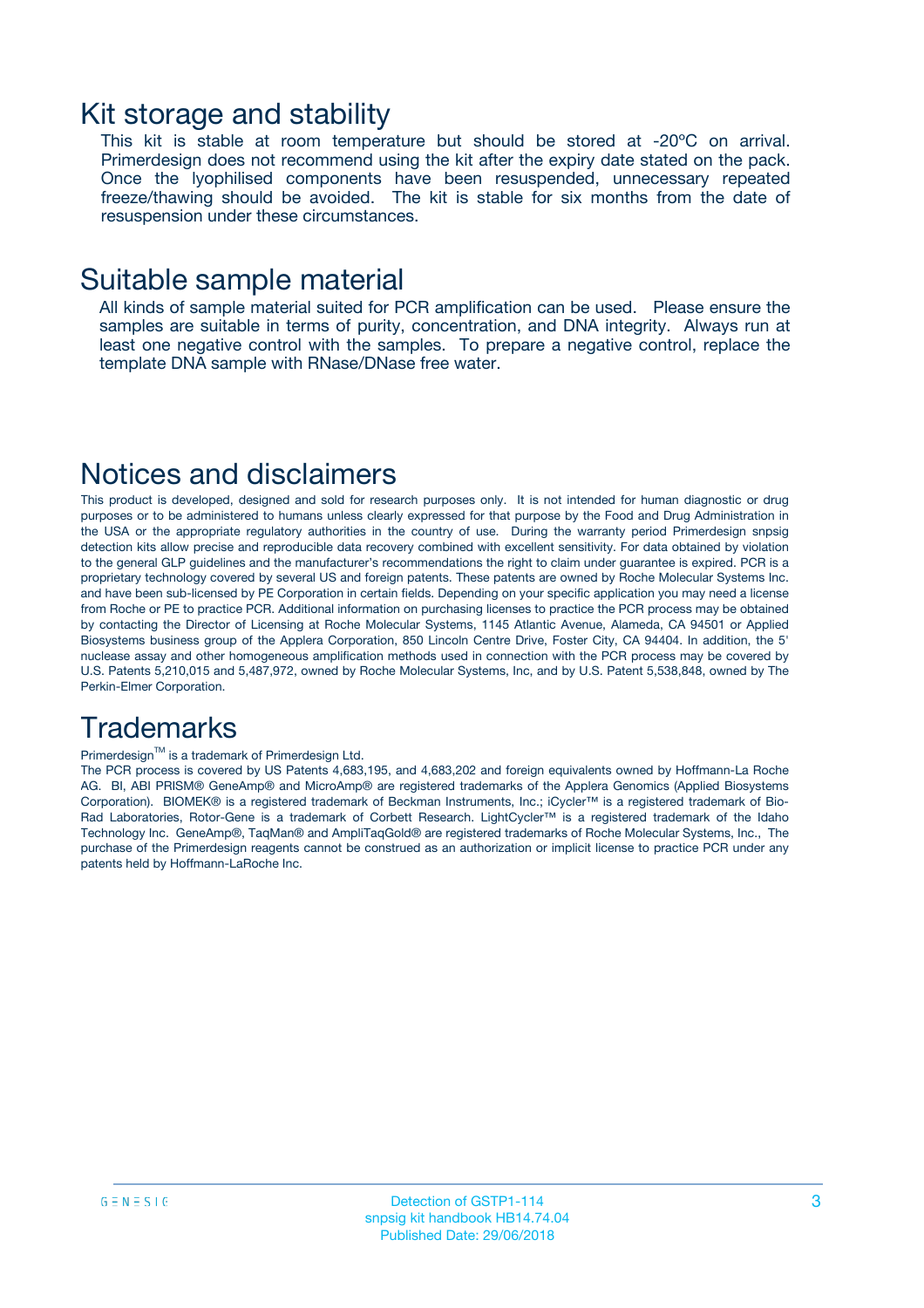### Kit storage and stability

This kit is stable at room temperature but should be stored at -20ºC on arrival. Primerdesign does not recommend using the kit after the expiry date stated on the pack. Once the lyophilised components have been resuspended, unnecessary repeated freeze/thawing should be avoided. The kit is stable for six months from the date of resuspension under these circumstances.

### Suitable sample material

All kinds of sample material suited for PCR amplification can be used. Please ensure the samples are suitable in terms of purity, concentration, and DNA integrity. Always run at least one negative control with the samples. To prepare a negative control, replace the template DNA sample with RNase/DNase free water.

### Notices and disclaimers

This product is developed, designed and sold for research purposes only. It is not intended for human diagnostic or drug purposes or to be administered to humans unless clearly expressed for that purpose by the Food and Drug Administration in the USA or the appropriate regulatory authorities in the country of use. During the warranty period Primerdesign snpsig detection kits allow precise and reproducible data recovery combined with excellent sensitivity. For data obtained by violation to the general GLP guidelines and the manufacturer's recommendations the right to claim under guarantee is expired. PCR is a proprietary technology covered by several US and foreign patents. These patents are owned by Roche Molecular Systems Inc. and have been sub-licensed by PE Corporation in certain fields. Depending on your specific application you may need a license from Roche or PE to practice PCR. Additional information on purchasing licenses to practice the PCR process may be obtained by contacting the Director of Licensing at Roche Molecular Systems, 1145 Atlantic Avenue, Alameda, CA 94501 or Applied Biosystems business group of the Applera Corporation, 850 Lincoln Centre Drive, Foster City, CA 94404. In addition, the 5' nuclease assay and other homogeneous amplification methods used in connection with the PCR process may be covered by U.S. Patents 5,210,015 and 5,487,972, owned by Roche Molecular Systems, Inc, and by U.S. Patent 5,538,848, owned by The Perkin-Elmer Corporation.

### **Trademarks**

#### Primerdesign™ is a trademark of Primerdesign Ltd.

The PCR process is covered by US Patents 4,683,195, and 4,683,202 and foreign equivalents owned by Hoffmann-La Roche AG. BI, ABI PRISM® GeneAmp® and MicroAmp® are registered trademarks of the Applera Genomics (Applied Biosystems Corporation). BIOMEK® is a registered trademark of Beckman Instruments, Inc.; iCycler™ is a registered trademark of Bio-Rad Laboratories, Rotor-Gene is a trademark of Corbett Research. LightCycler™ is a registered trademark of the Idaho Technology Inc. GeneAmp®, TaqMan® and AmpliTaqGold® are registered trademarks of Roche Molecular Systems, Inc., The purchase of the Primerdesign reagents cannot be construed as an authorization or implicit license to practice PCR under any patents held by Hoffmann-LaRoche Inc.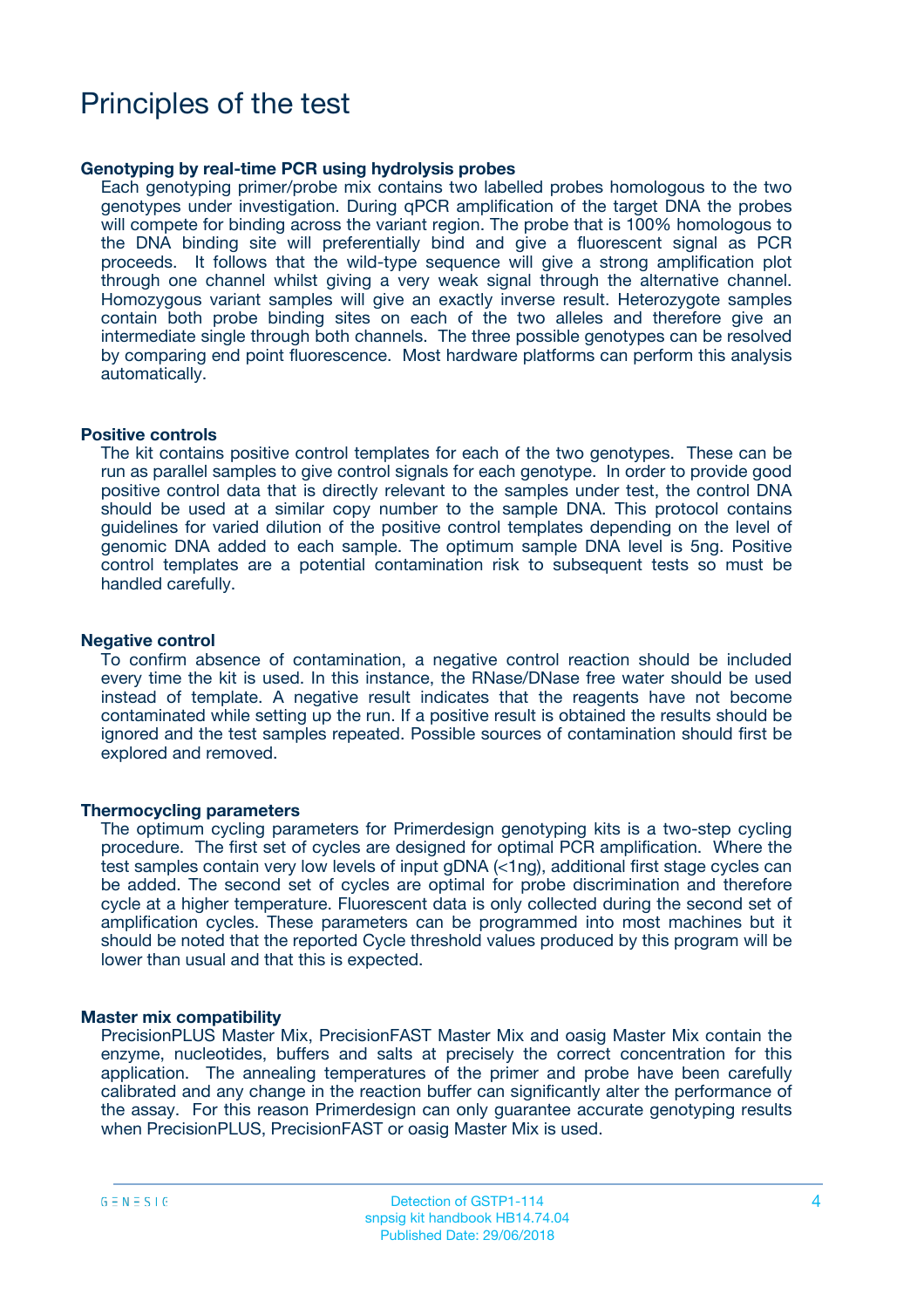### Principles of the test

#### **Genotyping by real-time PCR using hydrolysis probes**

Each genotyping primer/probe mix contains two labelled probes homologous to the two genotypes under investigation. During qPCR amplification of the target DNA the probes will compete for binding across the variant region. The probe that is 100% homologous to the DNA binding site will preferentially bind and give a fluorescent signal as PCR proceeds. It follows that the wild-type sequence will give a strong amplification plot through one channel whilst giving a very weak signal through the alternative channel. Homozygous variant samples will give an exactly inverse result. Heterozygote samples contain both probe binding sites on each of the two alleles and therefore give an intermediate single through both channels. The three possible genotypes can be resolved by comparing end point fluorescence. Most hardware platforms can perform this analysis automatically.

#### **Positive controls**

The kit contains positive control templates for each of the two genotypes. These can be run as parallel samples to give control signals for each genotype. In order to provide good positive control data that is directly relevant to the samples under test, the control DNA should be used at a similar copy number to the sample DNA. This protocol contains guidelines for varied dilution of the positive control templates depending on the level of genomic DNA added to each sample. The optimum sample DNA level is 5ng. Positive control templates are a potential contamination risk to subsequent tests so must be handled carefully.

#### **Negative control**

To confirm absence of contamination, a negative control reaction should be included every time the kit is used. In this instance, the RNase/DNase free water should be used instead of template. A negative result indicates that the reagents have not become contaminated while setting up the run. If a positive result is obtained the results should be ignored and the test samples repeated. Possible sources of contamination should first be explored and removed.

#### **Thermocycling parameters**

The optimum cycling parameters for Primerdesign genotyping kits is a two-step cycling procedure. The first set of cycles are designed for optimal PCR amplification. Where the test samples contain very low levels of input gDNA (<1ng), additional first stage cycles can be added. The second set of cycles are optimal for probe discrimination and therefore cycle at a higher temperature. Fluorescent data is only collected during the second set of amplification cycles. These parameters can be programmed into most machines but it should be noted that the reported Cycle threshold values produced by this program will be lower than usual and that this is expected.

#### **Master mix compatibility**

PrecisionPLUS Master Mix, PrecisionFAST Master Mix and oasig Master Mix contain the enzyme, nucleotides, buffers and salts at precisely the correct concentration for this application. The annealing temperatures of the primer and probe have been carefully calibrated and any change in the reaction buffer can significantly alter the performance of the assay. For this reason Primerdesign can only guarantee accurate genotyping results when PrecisionPLUS, PrecisionFAST or oasig Master Mix is used.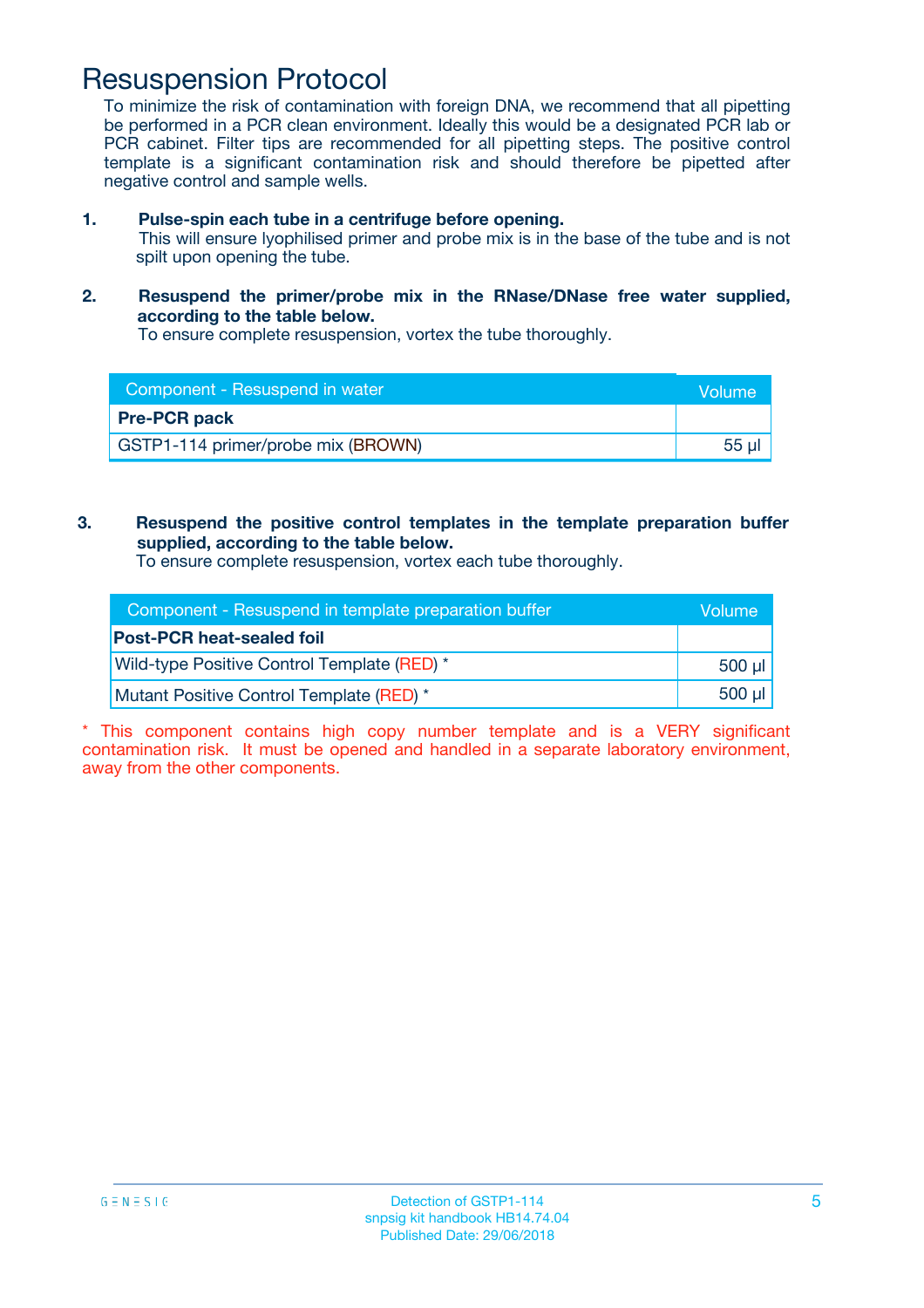### Resuspension Protocol

To minimize the risk of contamination with foreign DNA, we recommend that all pipetting be performed in a PCR clean environment. Ideally this would be a designated PCR lab or PCR cabinet. Filter tips are recommended for all pipetting steps. The positive control template is a significant contamination risk and should therefore be pipetted after negative control and sample wells.

- **1. Pulse-spin each tube in a centrifuge before opening.** This will ensure lyophilised primer and probe mix is in the base of the tube and is not spilt upon opening the tube.
- **2. Resuspend the primer/probe mix in the RNase/DNase free water supplied, according to the table below.**

To ensure complete resuspension, vortex the tube thoroughly.

| Component - Resuspend in water     | Volume |
|------------------------------------|--------|
| <b>Pre-PCR pack</b>                |        |
| GSTP1-114 primer/probe mix (BROWN) | 55 µ'  |

**3. Resuspend the positive control templates in the template preparation buffer supplied, according to the table below.**

To ensure complete resuspension, vortex each tube thoroughly.

| Component - Resuspend in template preparation buffer | Volume          |
|------------------------------------------------------|-----------------|
| <b>Post-PCR heat-sealed foil</b>                     |                 |
| Wild-type Positive Control Template (RED) *          | $500$ µ $\vert$ |
| Mutant Positive Control Template (RED) *             | $500$ µ $\vert$ |

\* This component contains high copy number template and is a VERY significant contamination risk. It must be opened and handled in a separate laboratory environment, away from the other components.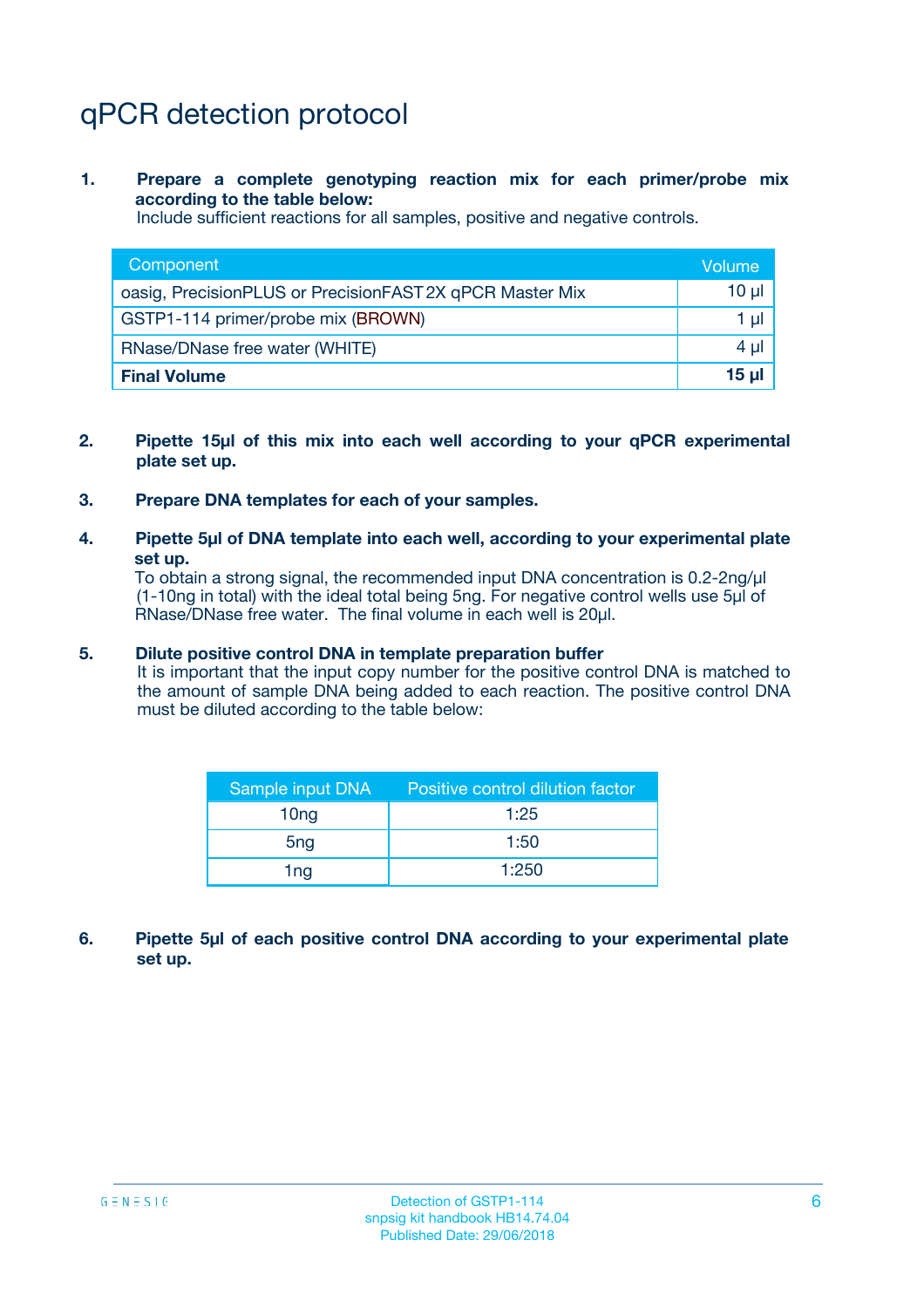# qPCR detection protocol

**1. Prepare a complete genotyping reaction mix for each primer/probe mix according to the table below:**

Include sufficient reactions for all samples, positive and negative controls.

| Component                                                | Volume |
|----------------------------------------------------------|--------|
| oasig, PrecisionPLUS or PrecisionFAST 2X qPCR Master Mix | 10 µl  |
| GSTP1-114 primer/probe mix (BROWN)                       | 1 ul   |
| RNase/DNase free water (WHITE)                           | 4 µl   |
| <b>Final Volume</b>                                      | $15$ µ |

- **2. Pipette 15µl of this mix into each well according to your qPCR experimental plate set up.**
- **3. Prepare DNA templates for each of your samples.**
- **4. Pipette 5µl of DNA template into each well, according to your experimental plate set up.**

To obtain a strong signal, the recommended input DNA concentration is 0.2-2ng/µl (1-10ng in total) with the ideal total being 5ng. For negative control wells use 5µl of RNase/DNase free water. The final volume in each well is 20µl.

#### **5. Dilute positive control DNA in template preparation buffer**

It is important that the input copy number for the positive control DNA is matched to the amount of sample DNA being added to each reaction. The positive control DNA must be diluted according to the table below:

| Sample input DNA | Positive control dilution factor |  |
|------------------|----------------------------------|--|
| 10 <sub>ng</sub> | 1:25                             |  |
| 5 <sub>ng</sub>  | 1:50                             |  |
| 1ng              | 1:250                            |  |

**6. Pipette 5µl of each positive control DNA according to your experimental plate set up.**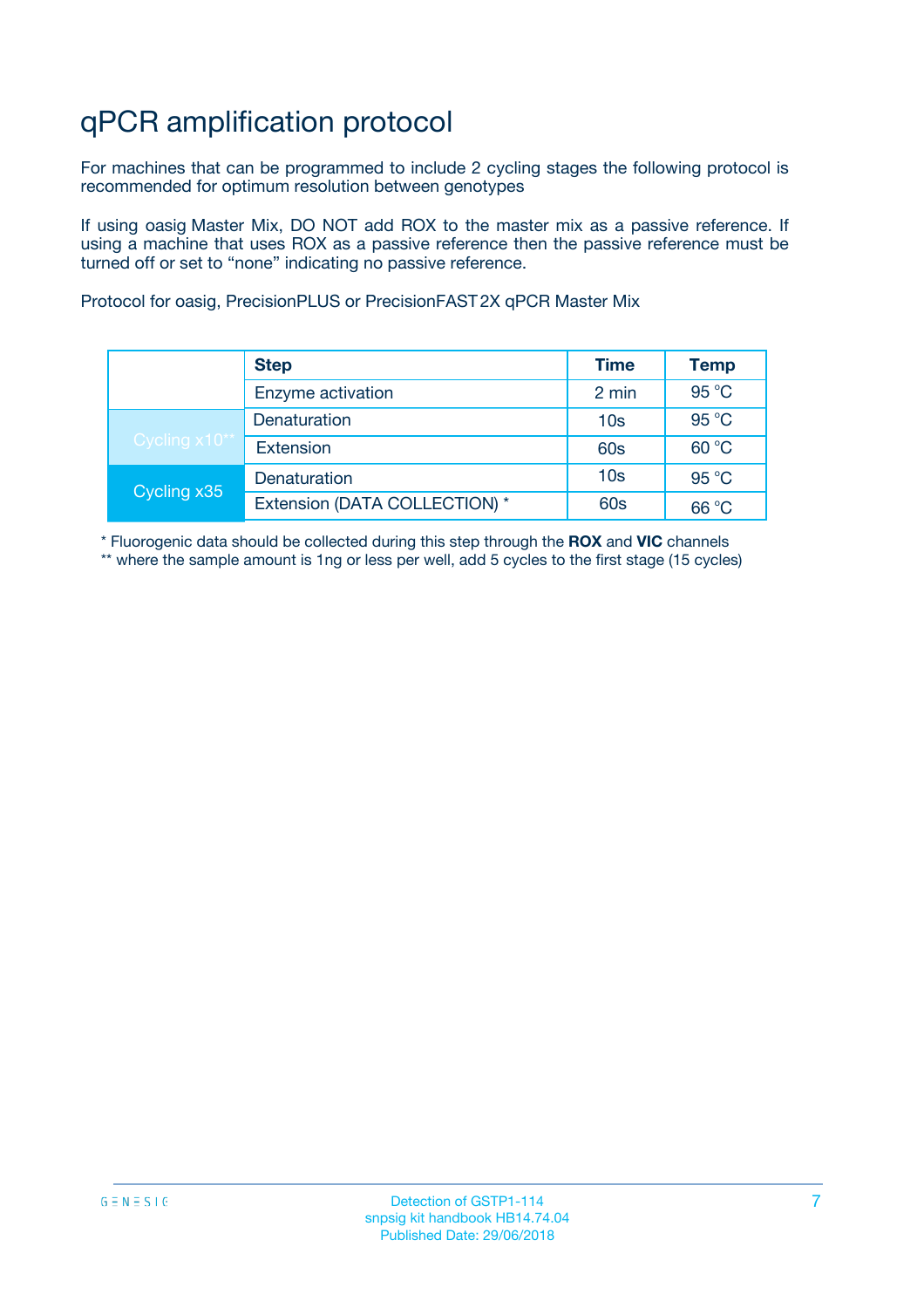# qPCR amplification protocol

For machines that can be programmed to include 2 cycling stages the following protocol is recommended for optimum resolution between genotypes

If using oasig Master Mix, DO NOT add ROX to the master mix as a passive reference. If using a machine that uses ROX as a passive reference then the passive reference must be turned off or set to "none" indicating no passive reference.

Protocol for oasig, PrecisionPLUS or PrecisionFAST 2X qPCR Master Mix

|               | <b>Step</b>                   | <b>Time</b>     | <b>Temp</b> |
|---------------|-------------------------------|-----------------|-------------|
|               | Enzyme activation             | 2 min           | 95 °C       |
| Cycling x10** | Denaturation                  | 10 <sub>s</sub> | 95 °C       |
|               | <b>Extension</b>              | <b>60s</b>      | 60 °C       |
| Cycling x35   | Denaturation                  | 10 <sub>s</sub> | 95 °C       |
|               | Extension (DATA COLLECTION) * | <b>60s</b>      | 66 °C       |

\* Fluorogenic data should be collected during this step through the **ROX** and **VIC** channels \*\* where the sample amount is 1ng or less per well, add 5 cycles to the first stage (15 cycles)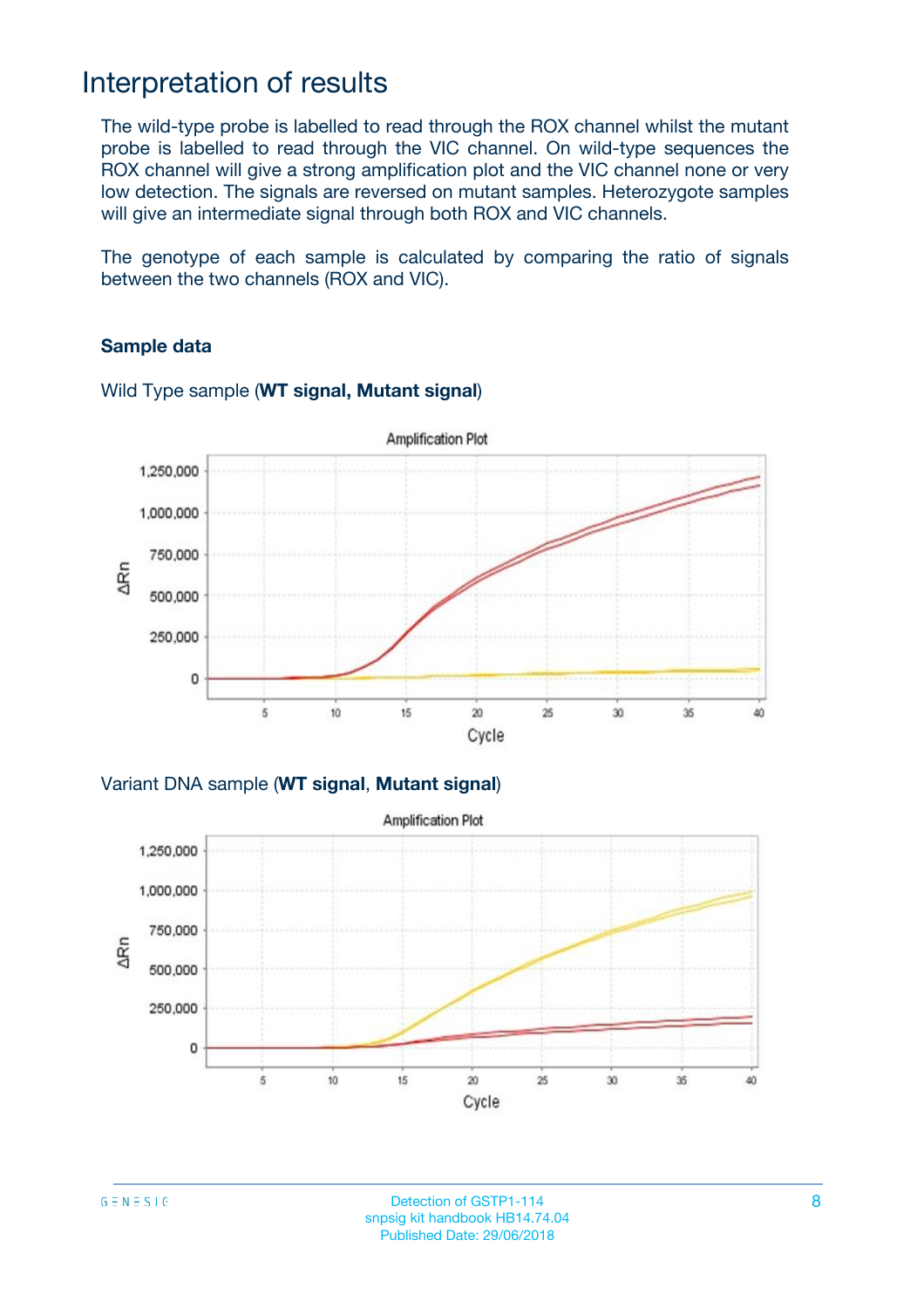### Interpretation of results

The wild-type probe is labelled to read through the ROX channel whilst the mutant probe is labelled to read through the VIC channel. On wild-type sequences the ROX channel will give a strong amplification plot and the VIC channel none or very low detection. The signals are reversed on mutant samples. Heterozygote samples will give an intermediate signal through both ROX and VIC channels.

The genotype of each sample is calculated by comparing the ratio of signals between the two channels (ROX and VIC).

### **Sample data**



### Wild Type sample (**WT signal, Mutant signal**)

Variant DNA sample (**WT signal**, **Mutant signal**)